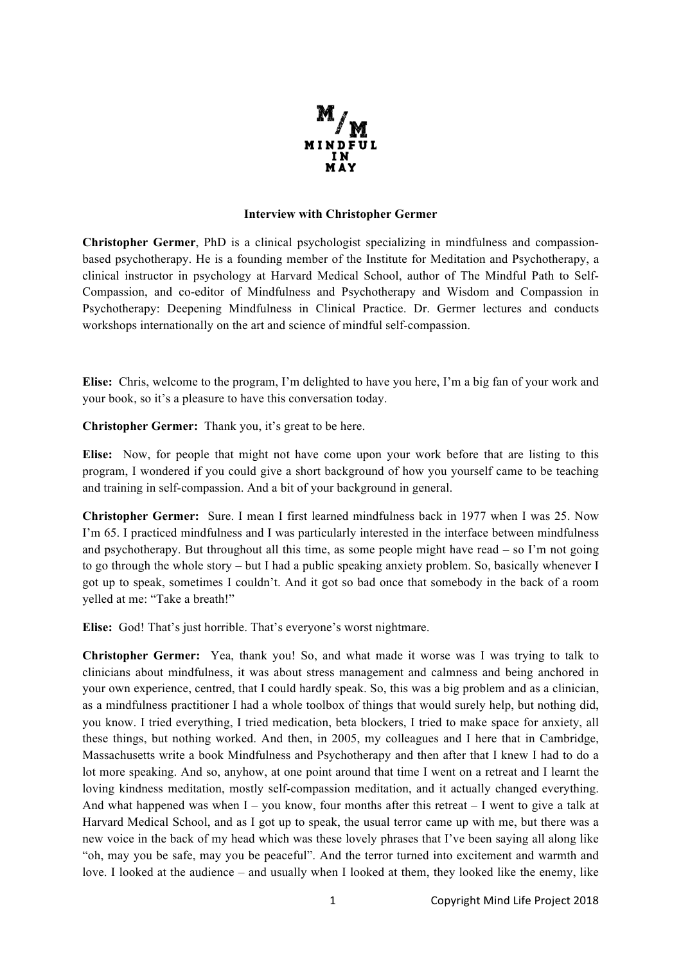

## **Interview with Christopher Germer**

**Christopher Germer**, PhD is a clinical psychologist specializing in mindfulness and compassionbased psychotherapy. He is a founding member of the Institute for Meditation and Psychotherapy, a clinical instructor in psychology at Harvard Medical School, author of The Mindful Path to Self-Compassion, and co-editor of Mindfulness and Psychotherapy and Wisdom and Compassion in Psychotherapy: Deepening Mindfulness in Clinical Practice. Dr. Germer lectures and conducts workshops internationally on the art and science of mindful self-compassion.

**Elise:** Chris, welcome to the program, I'm delighted to have you here, I'm a big fan of your work and your book, so it's a pleasure to have this conversation today.

**Christopher Germer:** Thank you, it's great to be here.

**Elise:** Now, for people that might not have come upon your work before that are listing to this program, I wondered if you could give a short background of how you yourself came to be teaching and training in self-compassion. And a bit of your background in general.

**Christopher Germer:** Sure. I mean I first learned mindfulness back in 1977 when I was 25. Now I'm 65. I practiced mindfulness and I was particularly interested in the interface between mindfulness and psychotherapy. But throughout all this time, as some people might have read – so I'm not going to go through the whole story – but I had a public speaking anxiety problem. So, basically whenever I got up to speak, sometimes I couldn't. And it got so bad once that somebody in the back of a room yelled at me: "Take a breath!"

**Elise:** God! That's just horrible. That's everyone's worst nightmare.

**Christopher Germer:** Yea, thank you! So, and what made it worse was I was trying to talk to clinicians about mindfulness, it was about stress management and calmness and being anchored in your own experience, centred, that I could hardly speak. So, this was a big problem and as a clinician, as a mindfulness practitioner I had a whole toolbox of things that would surely help, but nothing did, you know. I tried everything, I tried medication, beta blockers, I tried to make space for anxiety, all these things, but nothing worked. And then, in 2005, my colleagues and I here that in Cambridge, Massachusetts write a book Mindfulness and Psychotherapy and then after that I knew I had to do a lot more speaking. And so, anyhow, at one point around that time I went on a retreat and I learnt the loving kindness meditation, mostly self-compassion meditation, and it actually changed everything. And what happened was when  $I - you$  know, four months after this retreat  $-I$  went to give a talk at Harvard Medical School, and as I got up to speak, the usual terror came up with me, but there was a new voice in the back of my head which was these lovely phrases that I've been saying all along like "oh, may you be safe, may you be peaceful". And the terror turned into excitement and warmth and love. I looked at the audience – and usually when I looked at them, they looked like the enemy, like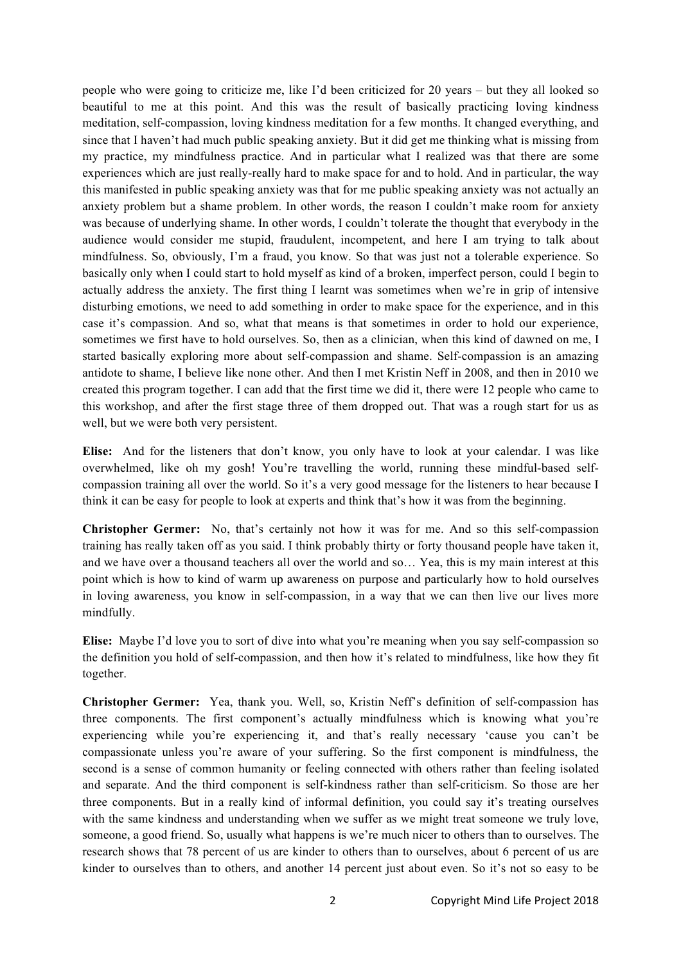people who were going to criticize me, like I'd been criticized for 20 years – but they all looked so beautiful to me at this point. And this was the result of basically practicing loving kindness meditation, self-compassion, loving kindness meditation for a few months. It changed everything, and since that I haven't had much public speaking anxiety. But it did get me thinking what is missing from my practice, my mindfulness practice. And in particular what I realized was that there are some experiences which are just really-really hard to make space for and to hold. And in particular, the way this manifested in public speaking anxiety was that for me public speaking anxiety was not actually an anxiety problem but a shame problem. In other words, the reason I couldn't make room for anxiety was because of underlying shame. In other words, I couldn't tolerate the thought that everybody in the audience would consider me stupid, fraudulent, incompetent, and here I am trying to talk about mindfulness. So, obviously, I'm a fraud, you know. So that was just not a tolerable experience. So basically only when I could start to hold myself as kind of a broken, imperfect person, could I begin to actually address the anxiety. The first thing I learnt was sometimes when we're in grip of intensive disturbing emotions, we need to add something in order to make space for the experience, and in this case it's compassion. And so, what that means is that sometimes in order to hold our experience, sometimes we first have to hold ourselves. So, then as a clinician, when this kind of dawned on me, I started basically exploring more about self-compassion and shame. Self-compassion is an amazing antidote to shame, I believe like none other. And then I met Kristin Neff in 2008, and then in 2010 we created this program together. I can add that the first time we did it, there were 12 people who came to this workshop, and after the first stage three of them dropped out. That was a rough start for us as well, but we were both very persistent.

**Elise:** And for the listeners that don't know, you only have to look at your calendar. I was like overwhelmed, like oh my gosh! You're travelling the world, running these mindful-based selfcompassion training all over the world. So it's a very good message for the listeners to hear because I think it can be easy for people to look at experts and think that's how it was from the beginning.

**Christopher Germer:** No, that's certainly not how it was for me. And so this self-compassion training has really taken off as you said. I think probably thirty or forty thousand people have taken it, and we have over a thousand teachers all over the world and so… Yea, this is my main interest at this point which is how to kind of warm up awareness on purpose and particularly how to hold ourselves in loving awareness, you know in self-compassion, in a way that we can then live our lives more mindfully.

**Elise:** Maybe I'd love you to sort of dive into what you're meaning when you say self-compassion so the definition you hold of self-compassion, and then how it's related to mindfulness, like how they fit together.

**Christopher Germer:** Yea, thank you. Well, so, Kristin Neff's definition of self-compassion has three components. The first component's actually mindfulness which is knowing what you're experiencing while you're experiencing it, and that's really necessary 'cause you can't be compassionate unless you're aware of your suffering. So the first component is mindfulness, the second is a sense of common humanity or feeling connected with others rather than feeling isolated and separate. And the third component is self-kindness rather than self-criticism. So those are her three components. But in a really kind of informal definition, you could say it's treating ourselves with the same kindness and understanding when we suffer as we might treat someone we truly love, someone, a good friend. So, usually what happens is we're much nicer to others than to ourselves. The research shows that 78 percent of us are kinder to others than to ourselves, about 6 percent of us are kinder to ourselves than to others, and another 14 percent just about even. So it's not so easy to be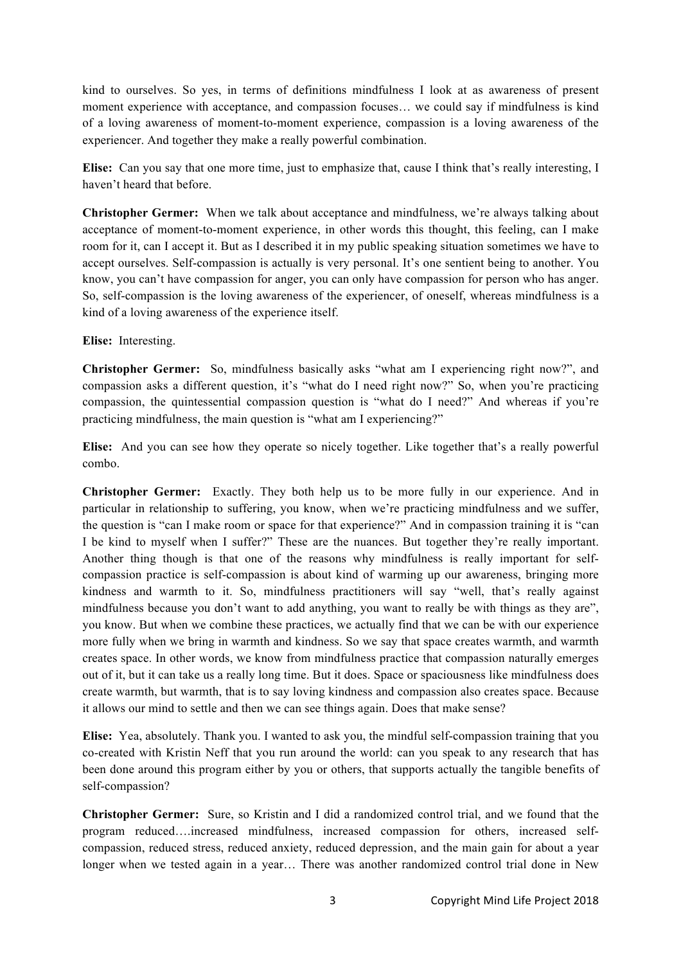kind to ourselves. So yes, in terms of definitions mindfulness I look at as awareness of present moment experience with acceptance, and compassion focuses… we could say if mindfulness is kind of a loving awareness of moment-to-moment experience, compassion is a loving awareness of the experiencer. And together they make a really powerful combination.

**Elise:** Can you say that one more time, just to emphasize that, cause I think that's really interesting, I haven't heard that before.

**Christopher Germer:** When we talk about acceptance and mindfulness, we're always talking about acceptance of moment-to-moment experience, in other words this thought, this feeling, can I make room for it, can I accept it. But as I described it in my public speaking situation sometimes we have to accept ourselves. Self-compassion is actually is very personal. It's one sentient being to another. You know, you can't have compassion for anger, you can only have compassion for person who has anger. So, self-compassion is the loving awareness of the experiencer, of oneself, whereas mindfulness is a kind of a loving awareness of the experience itself.

## **Elise:** Interesting.

**Christopher Germer:** So, mindfulness basically asks "what am I experiencing right now?", and compassion asks a different question, it's "what do I need right now?" So, when you're practicing compassion, the quintessential compassion question is "what do I need?" And whereas if you're practicing mindfulness, the main question is "what am I experiencing?"

**Elise:** And you can see how they operate so nicely together. Like together that's a really powerful combo.

**Christopher Germer:** Exactly. They both help us to be more fully in our experience. And in particular in relationship to suffering, you know, when we're practicing mindfulness and we suffer, the question is "can I make room or space for that experience?" And in compassion training it is "can I be kind to myself when I suffer?" These are the nuances. But together they're really important. Another thing though is that one of the reasons why mindfulness is really important for selfcompassion practice is self-compassion is about kind of warming up our awareness, bringing more kindness and warmth to it. So, mindfulness practitioners will say "well, that's really against mindfulness because you don't want to add anything, you want to really be with things as they are", you know. But when we combine these practices, we actually find that we can be with our experience more fully when we bring in warmth and kindness. So we say that space creates warmth, and warmth creates space. In other words, we know from mindfulness practice that compassion naturally emerges out of it, but it can take us a really long time. But it does. Space or spaciousness like mindfulness does create warmth, but warmth, that is to say loving kindness and compassion also creates space. Because it allows our mind to settle and then we can see things again. Does that make sense?

**Elise:** Yea, absolutely. Thank you. I wanted to ask you, the mindful self-compassion training that you co-created with Kristin Neff that you run around the world: can you speak to any research that has been done around this program either by you or others, that supports actually the tangible benefits of self-compassion?

**Christopher Germer:** Sure, so Kristin and I did a randomized control trial, and we found that the program reduced….increased mindfulness, increased compassion for others, increased selfcompassion, reduced stress, reduced anxiety, reduced depression, and the main gain for about a year longer when we tested again in a year… There was another randomized control trial done in New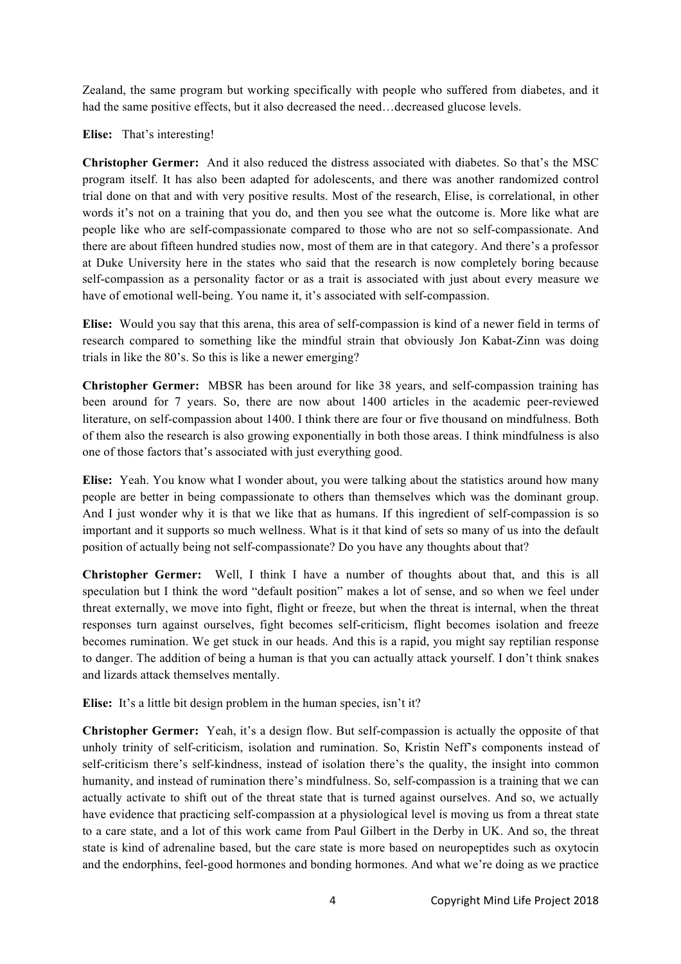Zealand, the same program but working specifically with people who suffered from diabetes, and it had the same positive effects, but it also decreased the need...decreased glucose levels.

**Elise:** That's interesting!

**Christopher Germer:** And it also reduced the distress associated with diabetes. So that's the MSC program itself. It has also been adapted for adolescents, and there was another randomized control trial done on that and with very positive results. Most of the research, Elise, is correlational, in other words it's not on a training that you do, and then you see what the outcome is. More like what are people like who are self-compassionate compared to those who are not so self-compassionate. And there are about fifteen hundred studies now, most of them are in that category. And there's a professor at Duke University here in the states who said that the research is now completely boring because self-compassion as a personality factor or as a trait is associated with just about every measure we have of emotional well-being. You name it, it's associated with self-compassion.

**Elise:** Would you say that this arena, this area of self-compassion is kind of a newer field in terms of research compared to something like the mindful strain that obviously Jon Kabat-Zinn was doing trials in like the 80's. So this is like a newer emerging?

**Christopher Germer:** MBSR has been around for like 38 years, and self-compassion training has been around for 7 years. So, there are now about 1400 articles in the academic peer-reviewed literature, on self-compassion about 1400. I think there are four or five thousand on mindfulness. Both of them also the research is also growing exponentially in both those areas. I think mindfulness is also one of those factors that's associated with just everything good.

**Elise:** Yeah. You know what I wonder about, you were talking about the statistics around how many people are better in being compassionate to others than themselves which was the dominant group. And I just wonder why it is that we like that as humans. If this ingredient of self-compassion is so important and it supports so much wellness. What is it that kind of sets so many of us into the default position of actually being not self-compassionate? Do you have any thoughts about that?

**Christopher Germer:** Well, I think I have a number of thoughts about that, and this is all speculation but I think the word "default position" makes a lot of sense, and so when we feel under threat externally, we move into fight, flight or freeze, but when the threat is internal, when the threat responses turn against ourselves, fight becomes self-criticism, flight becomes isolation and freeze becomes rumination. We get stuck in our heads. And this is a rapid, you might say reptilian response to danger. The addition of being a human is that you can actually attack yourself. I don't think snakes and lizards attack themselves mentally.

Elise: It's a little bit design problem in the human species, isn't it?

**Christopher Germer:** Yeah, it's a design flow. But self-compassion is actually the opposite of that unholy trinity of self-criticism, isolation and rumination. So, Kristin Neff's components instead of self-criticism there's self-kindness, instead of isolation there's the quality, the insight into common humanity, and instead of rumination there's mindfulness. So, self-compassion is a training that we can actually activate to shift out of the threat state that is turned against ourselves. And so, we actually have evidence that practicing self-compassion at a physiological level is moving us from a threat state to a care state, and a lot of this work came from Paul Gilbert in the Derby in UK. And so, the threat state is kind of adrenaline based, but the care state is more based on neuropeptides such as oxytocin and the endorphins, feel-good hormones and bonding hormones. And what we're doing as we practice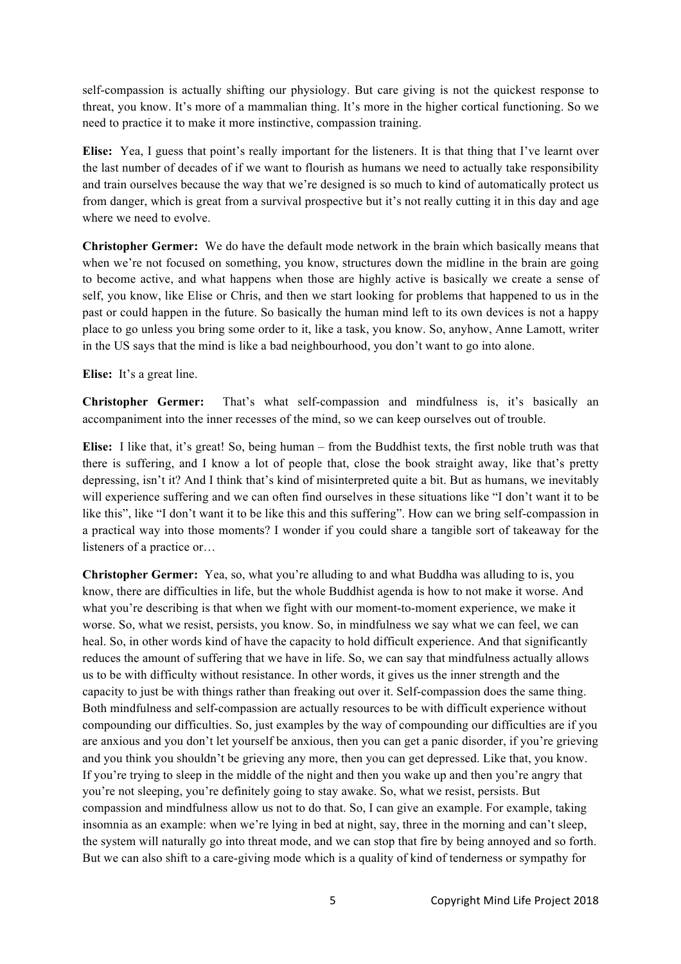self-compassion is actually shifting our physiology. But care giving is not the quickest response to threat, you know. It's more of a mammalian thing. It's more in the higher cortical functioning. So we need to practice it to make it more instinctive, compassion training.

**Elise:** Yea, I guess that point's really important for the listeners. It is that thing that I've learnt over the last number of decades of if we want to flourish as humans we need to actually take responsibility and train ourselves because the way that we're designed is so much to kind of automatically protect us from danger, which is great from a survival prospective but it's not really cutting it in this day and age where we need to evolve.

**Christopher Germer:** We do have the default mode network in the brain which basically means that when we're not focused on something, you know, structures down the midline in the brain are going to become active, and what happens when those are highly active is basically we create a sense of self, you know, like Elise or Chris, and then we start looking for problems that happened to us in the past or could happen in the future. So basically the human mind left to its own devices is not a happy place to go unless you bring some order to it, like a task, you know. So, anyhow, Anne Lamott, writer in the US says that the mind is like a bad neighbourhood, you don't want to go into alone.

**Elise:** It's a great line.

**Christopher Germer:** That's what self-compassion and mindfulness is, it's basically an accompaniment into the inner recesses of the mind, so we can keep ourselves out of trouble.

**Elise:** I like that, it's great! So, being human – from the Buddhist texts, the first noble truth was that there is suffering, and I know a lot of people that, close the book straight away, like that's pretty depressing, isn't it? And I think that's kind of misinterpreted quite a bit. But as humans, we inevitably will experience suffering and we can often find ourselves in these situations like "I don't want it to be like this", like "I don't want it to be like this and this suffering". How can we bring self-compassion in a practical way into those moments? I wonder if you could share a tangible sort of takeaway for the listeners of a practice or…

**Christopher Germer:** Yea, so, what you're alluding to and what Buddha was alluding to is, you know, there are difficulties in life, but the whole Buddhist agenda is how to not make it worse. And what you're describing is that when we fight with our moment-to-moment experience, we make it worse. So, what we resist, persists, you know. So, in mindfulness we say what we can feel, we can heal. So, in other words kind of have the capacity to hold difficult experience. And that significantly reduces the amount of suffering that we have in life. So, we can say that mindfulness actually allows us to be with difficulty without resistance. In other words, it gives us the inner strength and the capacity to just be with things rather than freaking out over it. Self-compassion does the same thing. Both mindfulness and self-compassion are actually resources to be with difficult experience without compounding our difficulties. So, just examples by the way of compounding our difficulties are if you are anxious and you don't let yourself be anxious, then you can get a panic disorder, if you're grieving and you think you shouldn't be grieving any more, then you can get depressed. Like that, you know. If you're trying to sleep in the middle of the night and then you wake up and then you're angry that you're not sleeping, you're definitely going to stay awake. So, what we resist, persists. But compassion and mindfulness allow us not to do that. So, I can give an example. For example, taking insomnia as an example: when we're lying in bed at night, say, three in the morning and can't sleep, the system will naturally go into threat mode, and we can stop that fire by being annoyed and so forth. But we can also shift to a care-giving mode which is a quality of kind of tenderness or sympathy for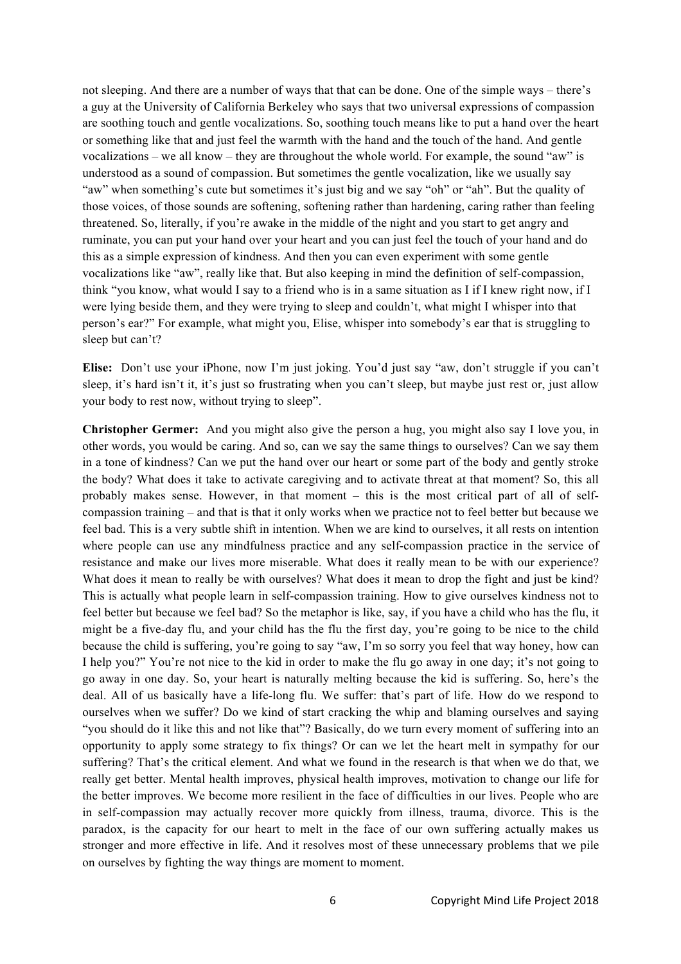not sleeping. And there are a number of ways that that can be done. One of the simple ways – there's a guy at the University of California Berkeley who says that two universal expressions of compassion are soothing touch and gentle vocalizations. So, soothing touch means like to put a hand over the heart or something like that and just feel the warmth with the hand and the touch of the hand. And gentle vocalizations – we all know – they are throughout the whole world. For example, the sound "aw" is understood as a sound of compassion. But sometimes the gentle vocalization, like we usually say "aw" when something's cute but sometimes it's just big and we say "oh" or "ah". But the quality of those voices, of those sounds are softening, softening rather than hardening, caring rather than feeling threatened. So, literally, if you're awake in the middle of the night and you start to get angry and ruminate, you can put your hand over your heart and you can just feel the touch of your hand and do this as a simple expression of kindness. And then you can even experiment with some gentle vocalizations like "aw", really like that. But also keeping in mind the definition of self-compassion, think "you know, what would I say to a friend who is in a same situation as I if I knew right now, if I were lying beside them, and they were trying to sleep and couldn't, what might I whisper into that person's ear?" For example, what might you, Elise, whisper into somebody's ear that is struggling to sleep but can't?

**Elise:** Don't use your iPhone, now I'm just joking. You'd just say "aw, don't struggle if you can't sleep, it's hard isn't it, it's just so frustrating when you can't sleep, but maybe just rest or, just allow your body to rest now, without trying to sleep".

**Christopher Germer:** And you might also give the person a hug, you might also say I love you, in other words, you would be caring. And so, can we say the same things to ourselves? Can we say them in a tone of kindness? Can we put the hand over our heart or some part of the body and gently stroke the body? What does it take to activate caregiving and to activate threat at that moment? So, this all probably makes sense. However, in that moment – this is the most critical part of all of selfcompassion training – and that is that it only works when we practice not to feel better but because we feel bad. This is a very subtle shift in intention. When we are kind to ourselves, it all rests on intention where people can use any mindfulness practice and any self-compassion practice in the service of resistance and make our lives more miserable. What does it really mean to be with our experience? What does it mean to really be with ourselves? What does it mean to drop the fight and just be kind? This is actually what people learn in self-compassion training. How to give ourselves kindness not to feel better but because we feel bad? So the metaphor is like, say, if you have a child who has the flu, it might be a five-day flu, and your child has the flu the first day, you're going to be nice to the child because the child is suffering, you're going to say "aw, I'm so sorry you feel that way honey, how can I help you?" You're not nice to the kid in order to make the flu go away in one day; it's not going to go away in one day. So, your heart is naturally melting because the kid is suffering. So, here's the deal. All of us basically have a life-long flu. We suffer: that's part of life. How do we respond to ourselves when we suffer? Do we kind of start cracking the whip and blaming ourselves and saying "you should do it like this and not like that"? Basically, do we turn every moment of suffering into an opportunity to apply some strategy to fix things? Or can we let the heart melt in sympathy for our suffering? That's the critical element. And what we found in the research is that when we do that, we really get better. Mental health improves, physical health improves, motivation to change our life for the better improves. We become more resilient in the face of difficulties in our lives. People who are in self-compassion may actually recover more quickly from illness, trauma, divorce. This is the paradox, is the capacity for our heart to melt in the face of our own suffering actually makes us stronger and more effective in life. And it resolves most of these unnecessary problems that we pile on ourselves by fighting the way things are moment to moment.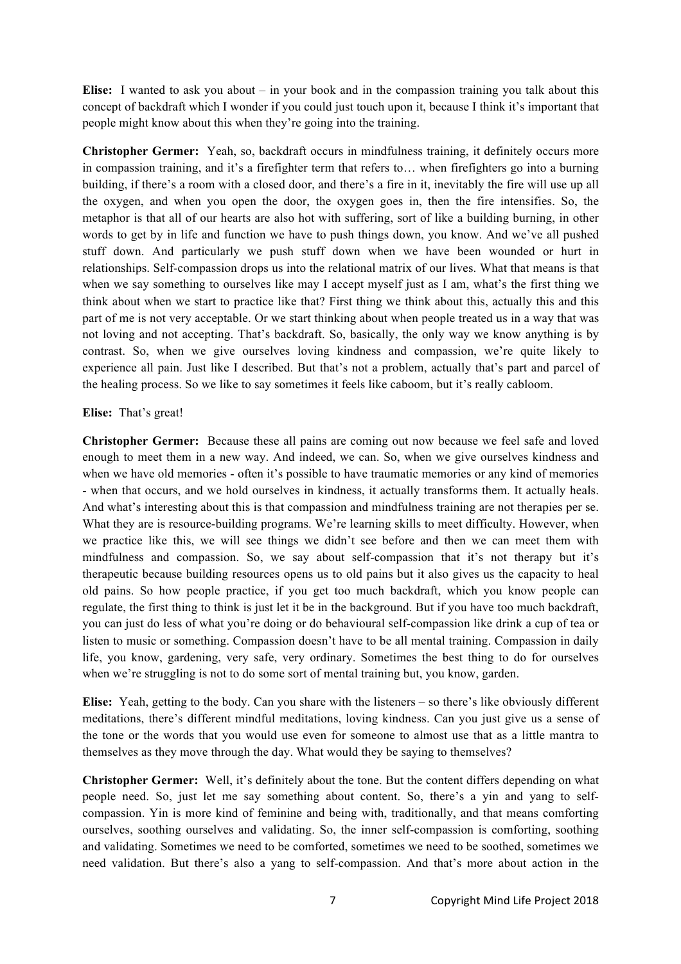**Elise:** I wanted to ask you about – in your book and in the compassion training you talk about this concept of backdraft which I wonder if you could just touch upon it, because I think it's important that people might know about this when they're going into the training.

**Christopher Germer:** Yeah, so, backdraft occurs in mindfulness training, it definitely occurs more in compassion training, and it's a firefighter term that refers to… when firefighters go into a burning building, if there's a room with a closed door, and there's a fire in it, inevitably the fire will use up all the oxygen, and when you open the door, the oxygen goes in, then the fire intensifies. So, the metaphor is that all of our hearts are also hot with suffering, sort of like a building burning, in other words to get by in life and function we have to push things down, you know. And we've all pushed stuff down. And particularly we push stuff down when we have been wounded or hurt in relationships. Self-compassion drops us into the relational matrix of our lives. What that means is that when we say something to ourselves like may I accept myself just as I am, what's the first thing we think about when we start to practice like that? First thing we think about this, actually this and this part of me is not very acceptable. Or we start thinking about when people treated us in a way that was not loving and not accepting. That's backdraft. So, basically, the only way we know anything is by contrast. So, when we give ourselves loving kindness and compassion, we're quite likely to experience all pain. Just like I described. But that's not a problem, actually that's part and parcel of the healing process. So we like to say sometimes it feels like caboom, but it's really cabloom.

## **Elise:** That's great!

**Christopher Germer:** Because these all pains are coming out now because we feel safe and loved enough to meet them in a new way. And indeed, we can. So, when we give ourselves kindness and when we have old memories - often it's possible to have traumatic memories or any kind of memories - when that occurs, and we hold ourselves in kindness, it actually transforms them. It actually heals. And what's interesting about this is that compassion and mindfulness training are not therapies per se. What they are is resource-building programs. We're learning skills to meet difficulty. However, when we practice like this, we will see things we didn't see before and then we can meet them with mindfulness and compassion. So, we say about self-compassion that it's not therapy but it's therapeutic because building resources opens us to old pains but it also gives us the capacity to heal old pains. So how people practice, if you get too much backdraft, which you know people can regulate, the first thing to think is just let it be in the background. But if you have too much backdraft, you can just do less of what you're doing or do behavioural self-compassion like drink a cup of tea or listen to music or something. Compassion doesn't have to be all mental training. Compassion in daily life, you know, gardening, very safe, very ordinary. Sometimes the best thing to do for ourselves when we're struggling is not to do some sort of mental training but, you know, garden.

**Elise:** Yeah, getting to the body. Can you share with the listeners – so there's like obviously different meditations, there's different mindful meditations, loving kindness. Can you just give us a sense of the tone or the words that you would use even for someone to almost use that as a little mantra to themselves as they move through the day. What would they be saying to themselves?

**Christopher Germer:** Well, it's definitely about the tone. But the content differs depending on what people need. So, just let me say something about content. So, there's a yin and yang to selfcompassion. Yin is more kind of feminine and being with, traditionally, and that means comforting ourselves, soothing ourselves and validating. So, the inner self-compassion is comforting, soothing and validating. Sometimes we need to be comforted, sometimes we need to be soothed, sometimes we need validation. But there's also a yang to self-compassion. And that's more about action in the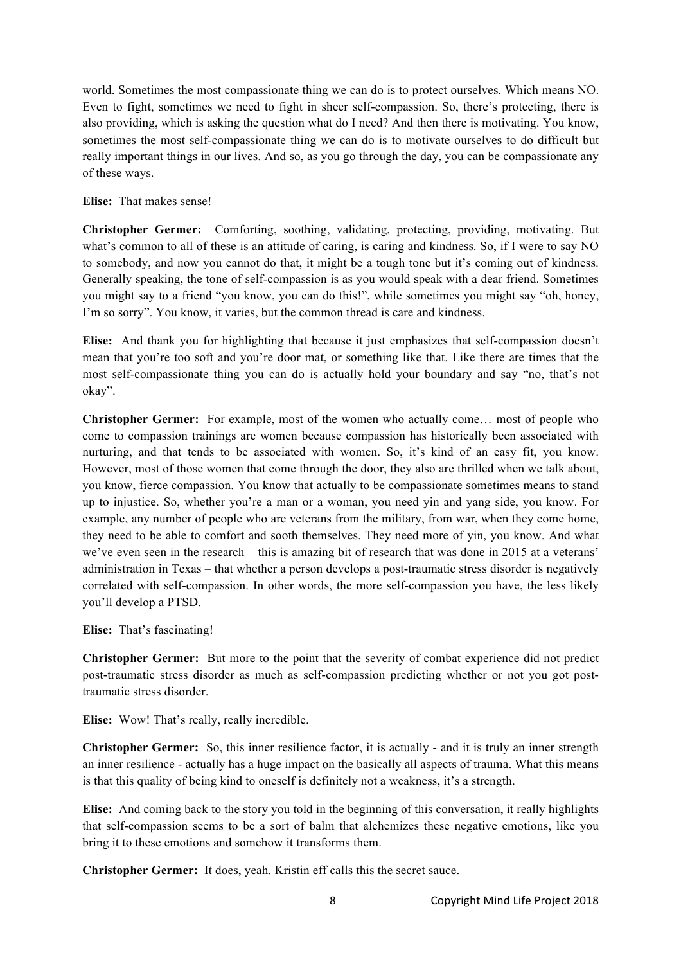world. Sometimes the most compassionate thing we can do is to protect ourselves. Which means NO. Even to fight, sometimes we need to fight in sheer self-compassion. So, there's protecting, there is also providing, which is asking the question what do I need? And then there is motivating. You know, sometimes the most self-compassionate thing we can do is to motivate ourselves to do difficult but really important things in our lives. And so, as you go through the day, you can be compassionate any of these ways.

## **Elise:** That makes sense!

**Christopher Germer:** Comforting, soothing, validating, protecting, providing, motivating. But what's common to all of these is an attitude of caring, is caring and kindness. So, if I were to say NO to somebody, and now you cannot do that, it might be a tough tone but it's coming out of kindness. Generally speaking, the tone of self-compassion is as you would speak with a dear friend. Sometimes you might say to a friend "you know, you can do this!", while sometimes you might say "oh, honey, I'm so sorry". You know, it varies, but the common thread is care and kindness.

**Elise:** And thank you for highlighting that because it just emphasizes that self-compassion doesn't mean that you're too soft and you're door mat, or something like that. Like there are times that the most self-compassionate thing you can do is actually hold your boundary and say "no, that's not okay".

**Christopher Germer:** For example, most of the women who actually come… most of people who come to compassion trainings are women because compassion has historically been associated with nurturing, and that tends to be associated with women. So, it's kind of an easy fit, you know. However, most of those women that come through the door, they also are thrilled when we talk about, you know, fierce compassion. You know that actually to be compassionate sometimes means to stand up to injustice. So, whether you're a man or a woman, you need yin and yang side, you know. For example, any number of people who are veterans from the military, from war, when they come home, they need to be able to comfort and sooth themselves. They need more of yin, you know. And what we've even seen in the research – this is amazing bit of research that was done in 2015 at a veterans' administration in Texas – that whether a person develops a post-traumatic stress disorder is negatively correlated with self-compassion. In other words, the more self-compassion you have, the less likely you'll develop a PTSD.

**Elise:** That's fascinating!

**Christopher Germer:** But more to the point that the severity of combat experience did not predict post-traumatic stress disorder as much as self-compassion predicting whether or not you got posttraumatic stress disorder.

**Elise:** Wow! That's really, really incredible.

**Christopher Germer:** So, this inner resilience factor, it is actually - and it is truly an inner strength an inner resilience - actually has a huge impact on the basically all aspects of trauma. What this means is that this quality of being kind to oneself is definitely not a weakness, it's a strength.

**Elise:** And coming back to the story you told in the beginning of this conversation, it really highlights that self-compassion seems to be a sort of balm that alchemizes these negative emotions, like you bring it to these emotions and somehow it transforms them.

**Christopher Germer:** It does, yeah. Kristin eff calls this the secret sauce.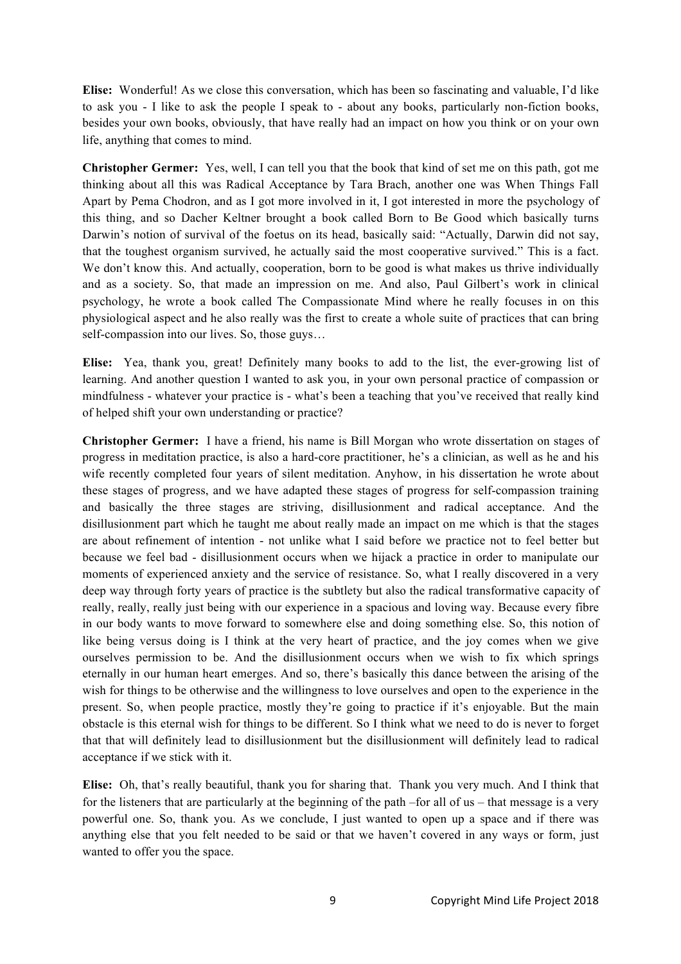**Elise:** Wonderful! As we close this conversation, which has been so fascinating and valuable, I'd like to ask you - I like to ask the people I speak to - about any books, particularly non-fiction books, besides your own books, obviously, that have really had an impact on how you think or on your own life, anything that comes to mind.

**Christopher Germer:** Yes, well, I can tell you that the book that kind of set me on this path, got me thinking about all this was Radical Acceptance by Tara Brach, another one was When Things Fall Apart by Pema Chodron, and as I got more involved in it, I got interested in more the psychology of this thing, and so Dacher Keltner brought a book called Born to Be Good which basically turns Darwin's notion of survival of the foetus on its head, basically said: "Actually, Darwin did not say, that the toughest organism survived, he actually said the most cooperative survived." This is a fact. We don't know this. And actually, cooperation, born to be good is what makes us thrive individually and as a society. So, that made an impression on me. And also, Paul Gilbert's work in clinical psychology, he wrote a book called The Compassionate Mind where he really focuses in on this physiological aspect and he also really was the first to create a whole suite of practices that can bring self-compassion into our lives. So, those guys…

**Elise:** Yea, thank you, great! Definitely many books to add to the list, the ever-growing list of learning. And another question I wanted to ask you, in your own personal practice of compassion or mindfulness - whatever your practice is - what's been a teaching that you've received that really kind of helped shift your own understanding or practice?

**Christopher Germer:** I have a friend, his name is Bill Morgan who wrote dissertation on stages of progress in meditation practice, is also a hard-core practitioner, he's a clinician, as well as he and his wife recently completed four years of silent meditation. Anyhow, in his dissertation he wrote about these stages of progress, and we have adapted these stages of progress for self-compassion training and basically the three stages are striving, disillusionment and radical acceptance. And the disillusionment part which he taught me about really made an impact on me which is that the stages are about refinement of intention - not unlike what I said before we practice not to feel better but because we feel bad - disillusionment occurs when we hijack a practice in order to manipulate our moments of experienced anxiety and the service of resistance. So, what I really discovered in a very deep way through forty years of practice is the subtlety but also the radical transformative capacity of really, really, really just being with our experience in a spacious and loving way. Because every fibre in our body wants to move forward to somewhere else and doing something else. So, this notion of like being versus doing is I think at the very heart of practice, and the joy comes when we give ourselves permission to be. And the disillusionment occurs when we wish to fix which springs eternally in our human heart emerges. And so, there's basically this dance between the arising of the wish for things to be otherwise and the willingness to love ourselves and open to the experience in the present. So, when people practice, mostly they're going to practice if it's enjoyable. But the main obstacle is this eternal wish for things to be different. So I think what we need to do is never to forget that that will definitely lead to disillusionment but the disillusionment will definitely lead to radical acceptance if we stick with it.

**Elise:** Oh, that's really beautiful, thank you for sharing that. Thank you very much. And I think that for the listeners that are particularly at the beginning of the path –for all of us – that message is a very powerful one. So, thank you. As we conclude, I just wanted to open up a space and if there was anything else that you felt needed to be said or that we haven't covered in any ways or form, just wanted to offer you the space.